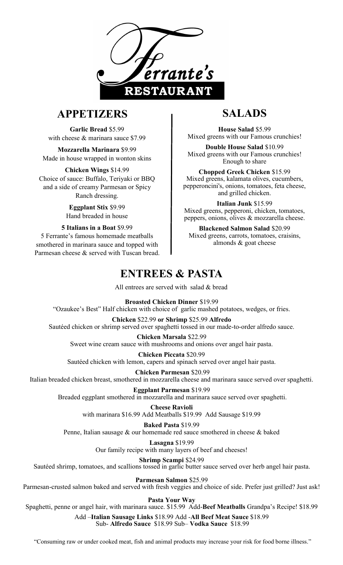

# **APPETIZERS**

**Garlic Bread** \$5.99 with cheese & marinara sauce \$7.99

**Mozzarella Marinara** \$9.99 Made in house wrapped in wonton skins

**Chicken Wings** \$14.99 Choice of sauce: Buffalo, Teriyaki or BBQ and a side of creamy Parmesan or Spicy Ranch dressing.

> **Eggplant Stix** \$9.99 Hand breaded in house

**5 Italians in a Boat** \$9.99

5 Ferrante's famous homemade meatballs smothered in marinara sauce and topped with Parmesan cheese & served with Tuscan bread.

# **SALADS**

**House Salad** \$5.99 Mixed greens with our Famous crunchies!

**Double House Salad** \$10.99 Mixed greens with our Famous crunchies! Enough to share

**Chopped Greek Chicken** \$15.99 Mixed greens, kalamata olives, cucumbers, pepperoncini's, onions, tomatoes, feta cheese, and grilled chicken.

**Italian Junk** \$15.99 Mixed greens, pepperoni, chicken, tomatoes, peppers, onions, olives & mozzarella cheese.

**Blackened Salmon Salad** \$20.99 Mixed greens, carrots, tomatoes, craisins, almonds & goat cheese

# **ENTREES & PASTA**

All entrees are served with salad & bread

**Broasted Chicken Dinner** \$19.99

"Ozaukee's Best" Half chicken with choice of garlic mashed potatoes, wedges, or fries.

#### **Chicken** \$22.99 **or Shrimp** \$25.99 **Alfredo**

Sautéed chicken or shrimp served over spaghetti tossed in our made-to-order alfredo sauce.

**Chicken Marsala** \$22.99 Sweet wine cream sauce with mushrooms and onions over angel hair pasta.

**Chicken Piccata** \$20.99 Sautéed chicken with lemon, capers and spinach served over angel hair pasta.

**Chicken Parmesan** \$20.99 Italian breaded chicken breast, smothered in mozzarella cheese and marinara sauce served over spaghetti.

**Eggplant Parmesan** \$19.99

Breaded eggplant smothered in mozzarella and marinara sauce served over spaghetti. **Cheese Ravioli** 

with marinara \$16.99 Add Meatballs \$19.99 Add Sausage \$19.99

**Baked Pasta** \$19.99 Penne, Italian sausage & our homemade red sauce smothered in cheese & baked

> **Lasagna** \$19.99 Our family recipe with many layers of beef and cheeses!

**Shrimp Scampi** \$24.99 Sautéed shrimp, tomatoes, and scallions tossed in garlic butter sauce served over herb angel hair pasta.

**Parmesan Salmon** \$25.99

Parmesan-crusted salmon baked and served with fresh veggies and choice of side. Prefer just grilled? Just ask!

**Pasta Your Way** 

Spaghetti, penne or angel hair, with marinara sauce. \$15.99 Add-**Beef Meatballs** Grandpa's Recipe! \$18.99

Add –**Italian Sausage Links** \$18.99 Add -**All Beef Meat Sauce** \$18.99 Sub- **Alfredo Sauce** \$18.99 Sub– **Vodka Sauce** \$18.99

"Consuming raw or under cooked meat, fish and animal products may increase your risk for food borne illness."